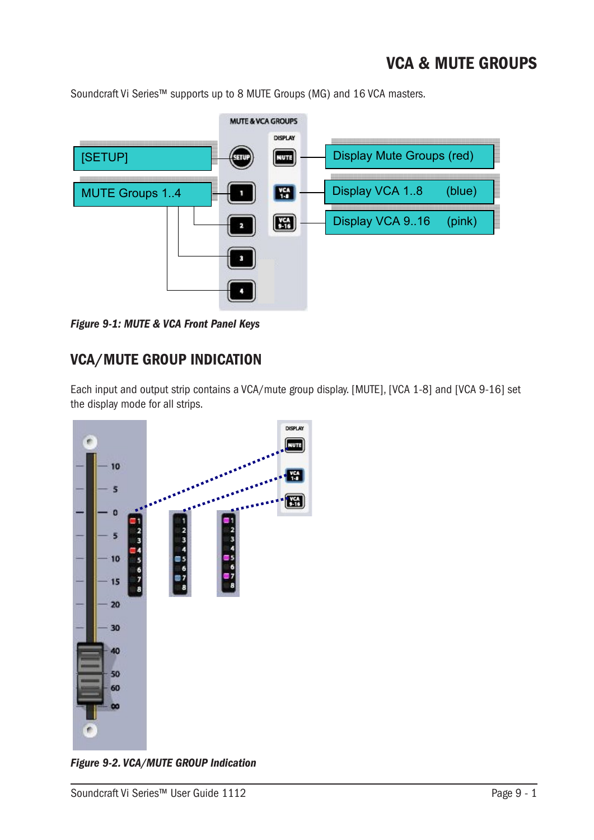# VCA & MUTE GROUPS

Soundcraft Vi Series™ supports up to 8 MUTE Groups (MG) and 16 VCA masters.



**Figure 9-1: MUTE & VCA Front Panel Keys** 

## VCA/MUTE GROUP INDICATION

Each input and output strip contains a VCA/mute group display. [MUTE], [VCA 1-8] and [VCA 9-16] set the display mode for all strips.



*Figure 9-2. VCA/MUTE GROUP Indication*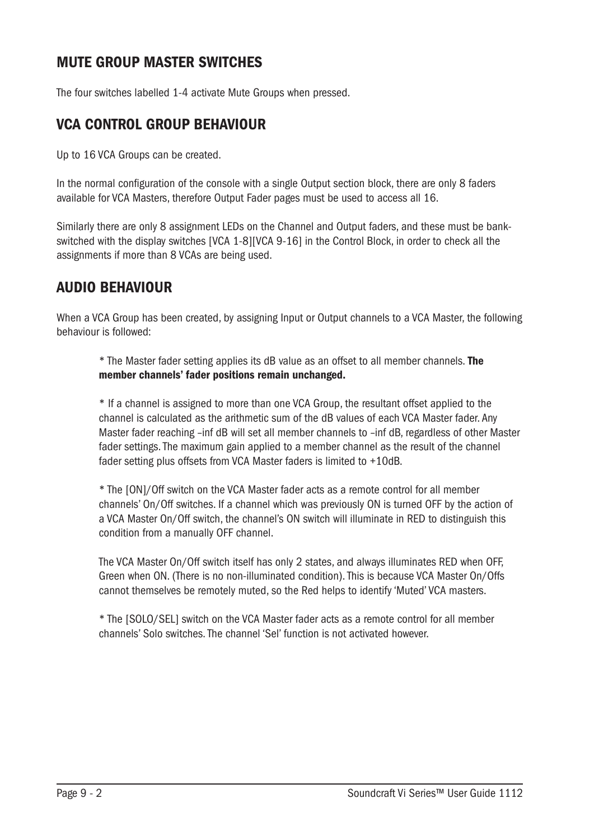## MUTE GROUP MASTER SWITCHES

The four switches labelled 1-4 activate Mute Groups when pressed.

#### VCA CONTROL GROUP BEHAVIOUR

Up to 16 VCA Groups can be created.

In the normal configuration of the console with a single Output section block, there are only 8 faders available for VCA Masters, therefore Output Fader pages must be used to access all 16.

Similarly there are only 8 assignment LEDs on the Channel and Output faders, and these must be bankswitched with the display switches [VCA 1-8][VCA 9-16] in the Control Block, in order to check all the assignments if more than 8 VCAs are being used.

#### AUDIO BEHAVIOUR

When a VCA Group has been created, by assigning Input or Output channels to a VCA Master, the following behaviour is followed:

\* The Master fader setting applies its dB value as an offset to all member channels. The member channels' fader positions remain unchanged.

\* If a channel is assigned to more than one VCA Group, the resultant offset applied to the channel is calculated as the arithmetic sum of the dB values of each VCA Master fader. Any Master fader reaching –inf dB will set all member channels to –inf dB, regardless of other Master fader settings. The maximum gain applied to a member channel as the result of the channel fader setting plus offsets from VCA Master faders is limited to +10dB.

\* The [ON]/Off switch on the VCA Master fader acts as a remote control for all member channels' On/Off switches. If a channel which was previously ON is turned OFF by the action of a VCA Master On/Off switch, the channel's ON switch will illuminate in RED to distinguish this condition from a manually OFF channel.

The VCA Master On/Off switch itself has only 2 states, and always illuminates RED when OFF, Green when ON. (There is no non-illuminated condition). This is because VCA Master On/Offs cannot themselves be remotely muted, so the Red helps to identify 'Muted' VCA masters.

\* The [SOLO/SEL] switch on the VCA Master fader acts as a remote control for all member channels' Solo switches. The channel 'Sel' function is not activated however.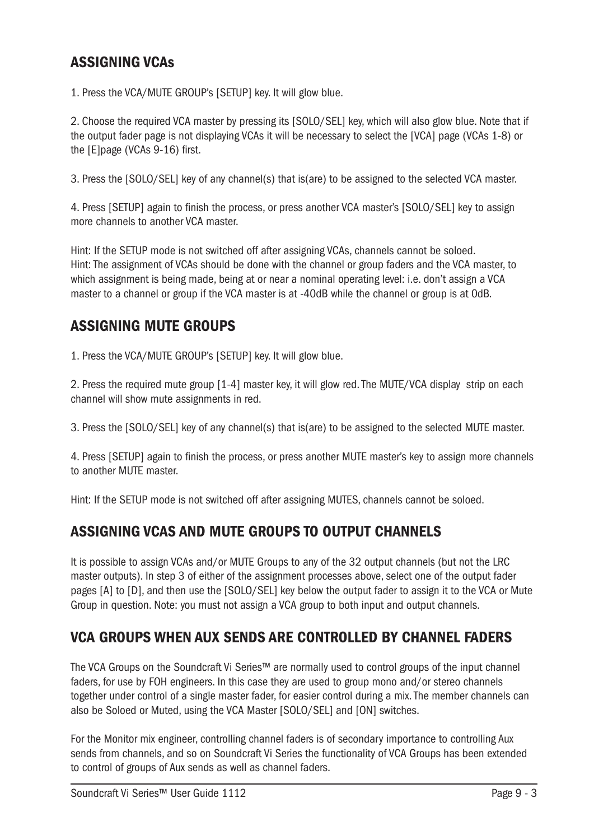## ASSIGNING VCAs

1. Press the VCA/MUTE GROUP's [SETUP] key. It will glow blue.

2. Choose the required VCA master by pressing its [SOLO/SEL] key, which will also glow blue. Note that if the output fader page is not displaying VCAs it will be necessary to select the [VCA] page (VCAs 1-8) or the [E]page (VCAs 9-16) first.

3. Press the [SOLO/SEL] key of any channel(s) that is(are) to be assigned to the selected VCA master.

4. Press [SETUP] again to finish the process, or press another VCA master's [SOLO/SEL] key to assign more channels to another VCA master.

Hint: If the SETUP mode is not switched off after assigning VCAs, channels cannot be soloed. Hint: The assignment of VCAs should be done with the channel or group faders and the VCA master, to which assignment is being made, being at or near a nominal operating level: i.e. don't assign a VCA master to a channel or group if the VCA master is at -40dB while the channel or group is at 0dB.

#### ASSIGNING MUTE GROUPS

1. Press the VCA/MUTE GROUP's [SETUP] key. It will glow blue.

2. Press the required mute group [1-4] master key, it will glow red. The MUTE/VCA display strip on each channel will show mute assignments in red.

3. Press the [SOLO/SEL] key of any channel(s) that is(are) to be assigned to the selected MUTE master.

4. Press [SETUP] again to finish the process, or press another MUTE master's key to assign more channels to another MUTE master.

Hint: If the SETUP mode is not switched off after assigning MUTES, channels cannot be soloed.

#### ASSIGNING VCAS AND MUTE GROUPS TO OUTPUT CHANNELS

It is possible to assign VCAs and/or MUTE Groups to any of the 32 output channels (but not the LRC master outputs). In step 3 of either of the assignment processes above, select one of the output fader pages [A] to [D], and then use the [SOLO/SEL] key below the output fader to assign it to the VCA or Mute Group in question. Note: you must not assign a VCA group to both input and output channels.

#### VCA GROUPS WHEN AUX SENDS ARE CONTROLLED BY CHANNEL FADERS

The VCA Groups on the Soundcraft Vi Series™ are normally used to control groups of the input channel faders, for use by FOH engineers. In this case they are used to group mono and/or stereo channels together under control of a single master fader, for easier control during a mix. The member channels can also be Soloed or Muted, using the VCA Master [SOLO/SEL] and [ON] switches.

For the Monitor mix engineer, controlling channel faders is of secondary importance to controlling Aux sends from channels, and so on Soundcraft Vi Series the functionality of VCA Groups has been extended to control of groups of Aux sends as well as channel faders.